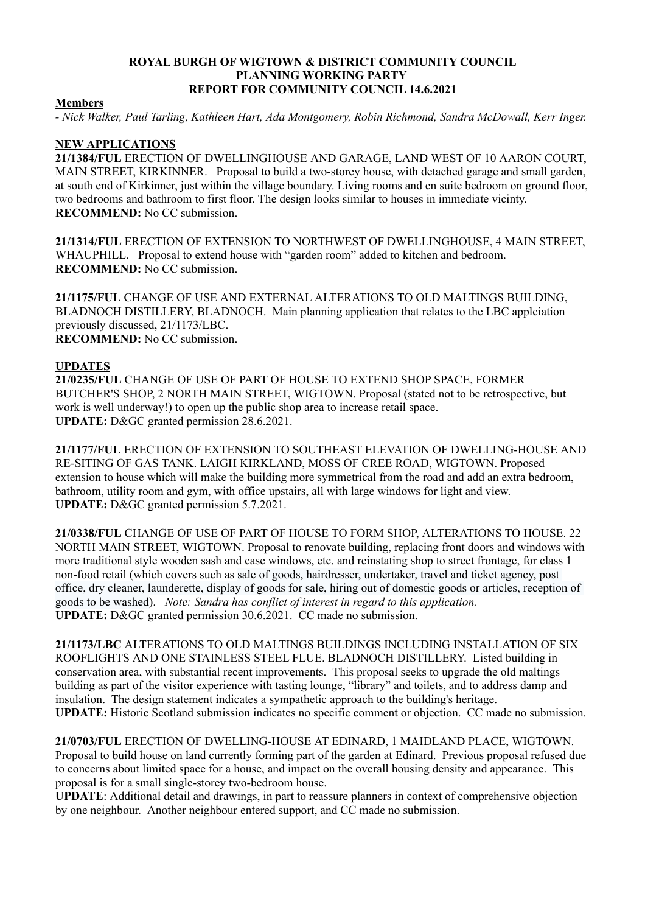#### **ROYAL BURGH OF WIGTOWN & DISTRICT COMMUNITY COUNCIL PLANNING WORKING PARTY REPORT FOR COMMUNITY COUNCIL 14.6.2021**

#### **Members**

*- Nick Walker, Paul Tarling, Kathleen Hart, Ada Montgomery, Robin Richmond, Sandra McDowall, Kerr Inger.*

## **NEW APPLICATIONS**

**21/1384/FUL** ERECTION OF DWELLINGHOUSE AND GARAGE, LAND WEST OF 10 AARON COURT, MAIN STREET, KIRKINNER. Proposal to build a two-storey house, with detached garage and small garden, at south end of Kirkinner, just within the village boundary. Living rooms and en suite bedroom on ground floor, two bedrooms and bathroom to first floor. The design looks similar to houses in immediate vicinty. **RECOMMEND:** No CC submission.

**21/1314/FUL** ERECTION OF EXTENSION TO NORTHWEST OF DWELLINGHOUSE, 4 MAIN STREET, WHAUPHILL. Proposal to extend house with "garden room" added to kitchen and bedroom. **RECOMMEND:** No CC submission.

**21/1175/FUL** CHANGE OF USE AND EXTERNAL ALTERATIONS TO OLD MALTINGS BUILDING, BLADNOCH DISTILLERY, BLADNOCH. Main planning application that relates to the LBC applciation previously discussed, 21/1173/LBC. **RECOMMEND:** No CC submission.

### **UPDATES**

**21/0235/FUL** CHANGE OF USE OF PART OF HOUSE TO EXTEND SHOP SPACE, FORMER BUTCHER'S SHOP, 2 NORTH MAIN STREET, WIGTOWN. Proposal (stated not to be retrospective, but work is well underway!) to open up the public shop area to increase retail space. **UPDATE:** D&GC granted permission 28.6.2021.

**21/1177/FUL** ERECTION OF EXTENSION TO SOUTHEAST ELEVATION OF DWELLING-HOUSE AND RE-SITING OF GAS TANK. LAIGH KIRKLAND, MOSS OF CREE ROAD, WIGTOWN. Proposed extension to house which will make the building more symmetrical from the road and add an extra bedroom, bathroom, utility room and gym, with office upstairs, all with large windows for light and view. **UPDATE:** D&GC granted permission 5.7.2021.

**21/0338/FUL** CHANGE OF USE OF PART OF HOUSE TO FORM SHOP, ALTERATIONS TO HOUSE. 22 NORTH MAIN STREET, WIGTOWN. Proposal to renovate building, replacing front doors and windows with more traditional style wooden sash and case windows, etc. and reinstating shop to street frontage, for class 1 non-food retail (which covers such as sale of goods, hairdresser, undertaker, travel and ticket agency, post office, dry cleaner, launderette, display of goods for sale, hiring out of domestic goods or articles, reception of goods to be washed). *Note: Sandra has conflict of interest in regard to this application.*  **UPDATE:** D&GC granted permission 30.6.2021. CC made no submission.

**21/1173/LBC** ALTERATIONS TO OLD MALTINGS BUILDINGS INCLUDING INSTALLATION OF SIX ROOFLIGHTS AND ONE STAINLESS STEEL FLUE. BLADNOCH DISTILLERY. Listed building in conservation area, with substantial recent improvements. This proposal seeks to upgrade the old maltings building as part of the visitor experience with tasting lounge, "library" and toilets, and to address damp and insulation. The design statement indicates a sympathetic approach to the building's heritage. **UPDATE:** Historic Scotland submission indicates no specific comment or objection. CC made no submission.

**21/0703/FUL** ERECTION OF DWELLING-HOUSE AT EDINARD, 1 MAIDLAND PLACE, WIGTOWN. Proposal to build house on land currently forming part of the garden at Edinard. Previous proposal refused due to concerns about limited space for a house, and impact on the overall housing density and appearance. This proposal is for a small single-storey two-bedroom house.

**UPDATE**: Additional detail and drawings, in part to reassure planners in context of comprehensive objection by one neighbour. Another neighbour entered support, and CC made no submission.